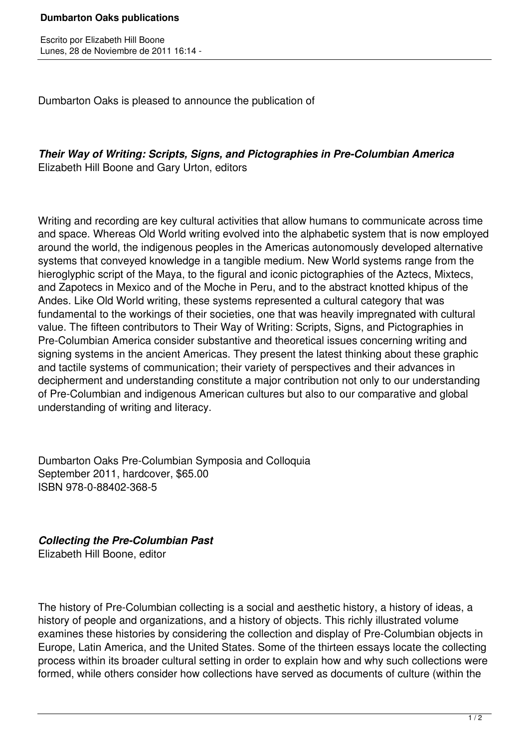Dumbarton Oaks is pleased to announce the publication of

*Their Way of Writing: Scripts, Signs, and Pictographies in Pre-Columbian America*  Elizabeth Hill Boone and Gary Urton, editors

Writing and recording are key cultural activities that allow humans to communicate across time and space. Whereas Old World writing evolved into the alphabetic system that is now employed around the world, the indigenous peoples in the Americas autonomously developed alternative systems that conveyed knowledge in a tangible medium. New World systems range from the hieroglyphic script of the Maya, to the figural and iconic pictographies of the Aztecs, Mixtecs, and Zapotecs in Mexico and of the Moche in Peru, and to the abstract knotted khipus of the Andes. Like Old World writing, these systems represented a cultural category that was fundamental to the workings of their societies, one that was heavily impregnated with cultural value. The fifteen contributors to Their Way of Writing: Scripts, Signs, and Pictographies in Pre-Columbian America consider substantive and theoretical issues concerning writing and signing systems in the ancient Americas. They present the latest thinking about these graphic and tactile systems of communication; their variety of perspectives and their advances in decipherment and understanding constitute a major contribution not only to our understanding of Pre-Columbian and indigenous American cultures but also to our comparative and global understanding of writing and literacy.

Dumbarton Oaks Pre-Columbian Symposia and Colloquia September 2011, hardcover, \$65.00 ISBN 978-0-88402-368-5

*Collecting the Pre-Columbian Past* 

Elizabeth Hill Boone, editor

The history of Pre-Columbian collecting is a social and aesthetic history, a history of ideas, a history of people and organizations, and a history of objects. This richly illustrated volume examines these histories by considering the collection and display of Pre-Columbian objects in Europe, Latin America, and the United States. Some of the thirteen essays locate the collecting process within its broader cultural setting in order to explain how and why such collections were formed, while others consider how collections have served as documents of culture (within the